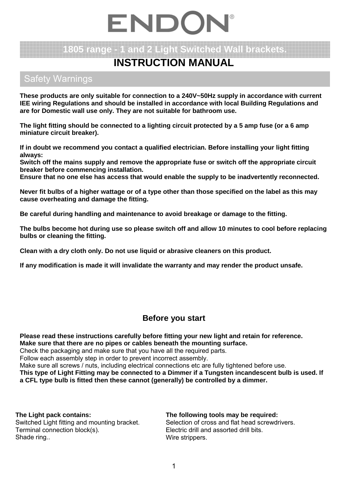# ENDOI

## **1805 range - 1 and 2 Light Switched Wall brackets.**

## **INSTRUCTION MANUAL**

### Safety Warnings

**These products are only suitable for connection to a 240V~50Hz supply in accordance with current IEE wiring Regulations and should be installed in accordance with local Building Regulations and are for Domestic wall use only. They are not suitable for bathroom use.**

**The light fitting should be connected to a lighting circuit protected by a 5 amp fuse (or a 6 amp miniature circuit breaker).**

**If in doubt we recommend you contact a qualified electrician. Before installing your light fitting always:**

**Switch off the mains supply and remove the appropriate fuse or switch off the appropriate circuit breaker before commencing installation.**

**Ensure that no one else has access that would enable the supply to be inadvertently reconnected.**

**Never fit bulbs of a higher wattage or of a type other than those specified on the label as this may cause overheating and damage the fitting.**

**Be careful during handling and maintenance to avoid breakage or damage to the fitting.** 

**The bulbs become hot during use so please switch off and allow 10 minutes to cool before replacing bulbs or cleaning the fitting.** 

**Clean with a dry cloth only. Do not use liquid or abrasive cleaners on this product.**

**If any modification is made it will invalidate the warranty and may render the product unsafe.** 

#### **Before you start**

**Please read these instructions carefully before fitting your new light and retain for reference. Make sure that there are no pipes or cables beneath the mounting surface.** 

Check the packaging and make sure that you have all the required parts.

Follow each assembly step in order to prevent incorrect assembly.

Make sure all screws / nuts, including electrical connections etc are fully tightened before use.

**This type of Light Fitting may be connected to a Dimmer if a Tungsten incandescent bulb is used. If a CFL type bulb is fitted then these cannot (generally) be controlled by a dimmer.** 

**The Light pack contains:** Switched Light fitting and mounting bracket. Terminal connection block(s).

Shade ring..

**The following tools may be required:** Selection of cross and flat head screwdrivers. Electric drill and assorted drill bits.

Wire strippers.